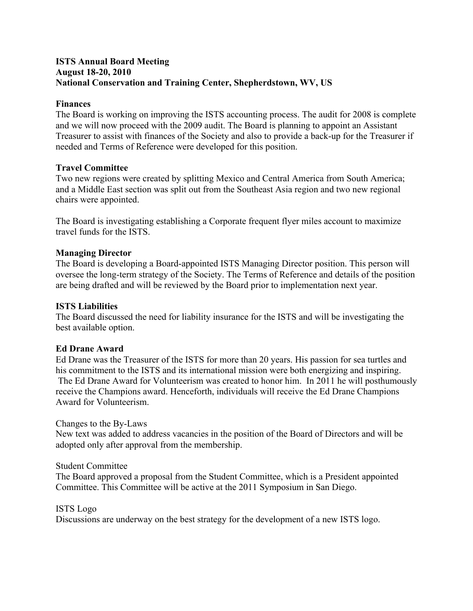# **ISTS Annual Board Meeting August 18-20, 2010 National Conservation and Training Center, Shepherdstown, WV, US**

# **Finances**

The Board is working on improving the ISTS accounting process. The audit for 2008 is complete and we will now proceed with the 2009 audit. The Board is planning to appoint an Assistant Treasurer to assist with finances of the Society and also to provide a back-up for the Treasurer if needed and Terms of Reference were developed for this position.

# **Travel Committee**

Two new regions were created by splitting Mexico and Central America from South America; and a Middle East section was split out from the Southeast Asia region and two new regional chairs were appointed.

The Board is investigating establishing a Corporate frequent flyer miles account to maximize travel funds for the ISTS.

### **Managing Director**

The Board is developing a Board-appointed ISTS Managing Director position. This person will oversee the long-term strategy of the Society. The Terms of Reference and details of the position are being drafted and will be reviewed by the Board prior to implementation next year.

### **ISTS Liabilities**

The Board discussed the need for liability insurance for the ISTS and will be investigating the best available option.

### **Ed Drane Award**

Ed Drane was the Treasurer of the ISTS for more than 20 years. His passion for sea turtles and his commitment to the ISTS and its international mission were both energizing and inspiring. The Ed Drane Award for Volunteerism was created to honor him. In 2011 he will posthumously receive the Champions award. Henceforth, individuals will receive the Ed Drane Champions Award for Volunteerism.

### Changes to the By-Laws

New text was added to address vacancies in the position of the Board of Directors and will be adopted only after approval from the membership.

### Student Committee

The Board approved a proposal from the Student Committee, which is a President appointed Committee. This Committee will be active at the 2011 Symposium in San Diego.

### ISTS Logo

Discussions are underway on the best strategy for the development of a new ISTS logo.